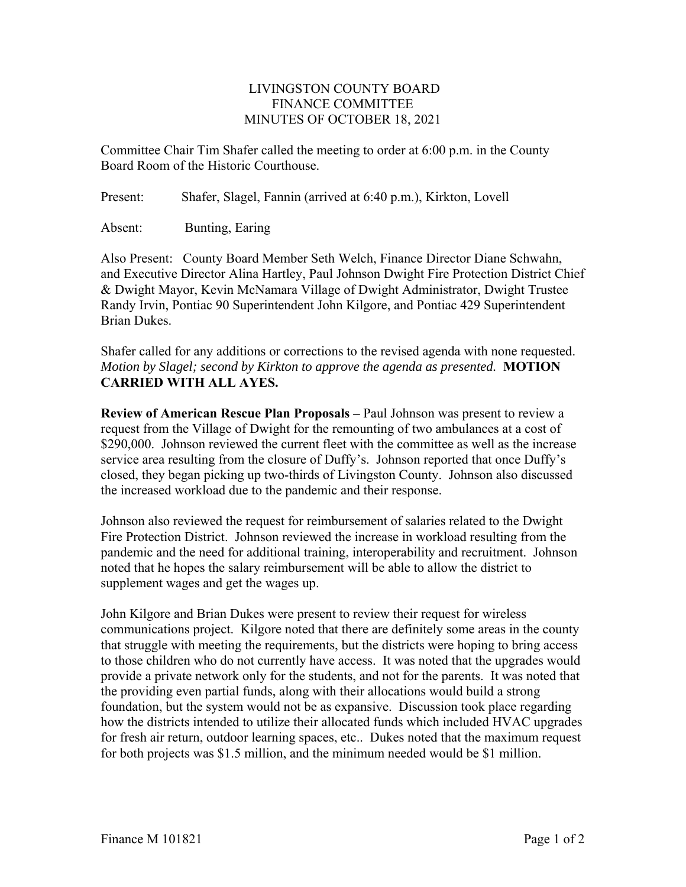## LIVINGSTON COUNTY BOARD FINANCE COMMITTEE MINUTES OF OCTOBER 18, 2021

Committee Chair Tim Shafer called the meeting to order at 6:00 p.m. in the County Board Room of the Historic Courthouse.

Present: Shafer, Slagel, Fannin (arrived at 6:40 p.m.), Kirkton, Lovell

Absent: Bunting, Earing

Also Present: County Board Member Seth Welch, Finance Director Diane Schwahn, and Executive Director Alina Hartley, Paul Johnson Dwight Fire Protection District Chief & Dwight Mayor, Kevin McNamara Village of Dwight Administrator, Dwight Trustee Randy Irvin, Pontiac 90 Superintendent John Kilgore, and Pontiac 429 Superintendent Brian Dukes.

Shafer called for any additions or corrections to the revised agenda with none requested. *Motion by Slagel; second by Kirkton to approve the agenda as presented.* **MOTION CARRIED WITH ALL AYES.** 

**Review of American Rescue Plan Proposals –** Paul Johnson was present to review a request from the Village of Dwight for the remounting of two ambulances at a cost of \$290,000. Johnson reviewed the current fleet with the committee as well as the increase service area resulting from the closure of Duffy's. Johnson reported that once Duffy's closed, they began picking up two-thirds of Livingston County. Johnson also discussed the increased workload due to the pandemic and their response.

Johnson also reviewed the request for reimbursement of salaries related to the Dwight Fire Protection District. Johnson reviewed the increase in workload resulting from the pandemic and the need for additional training, interoperability and recruitment. Johnson noted that he hopes the salary reimbursement will be able to allow the district to supplement wages and get the wages up.

John Kilgore and Brian Dukes were present to review their request for wireless communications project. Kilgore noted that there are definitely some areas in the county that struggle with meeting the requirements, but the districts were hoping to bring access to those children who do not currently have access. It was noted that the upgrades would provide a private network only for the students, and not for the parents. It was noted that the providing even partial funds, along with their allocations would build a strong foundation, but the system would not be as expansive. Discussion took place regarding how the districts intended to utilize their allocated funds which included HVAC upgrades for fresh air return, outdoor learning spaces, etc.. Dukes noted that the maximum request for both projects was \$1.5 million, and the minimum needed would be \$1 million.